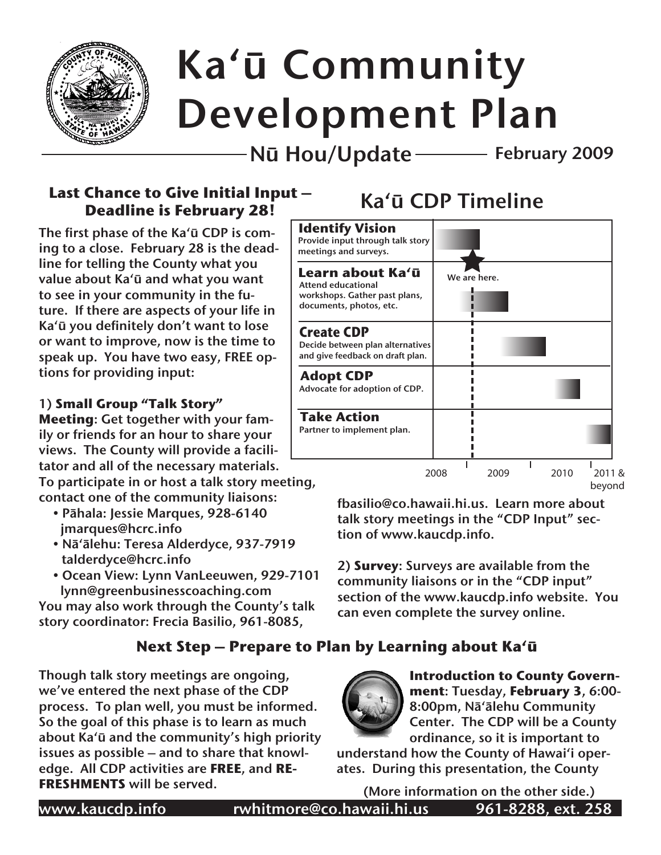

# Kaʻū Community Development Plan

Nū Hou/Update February 2009

# Last Chance to Give Initial Input – **Ka'ū CDP Timeline Deadline is February 28!**

The first phase of the Ka'ū CDP is coming to a close. February 28 is the deadline for telling the County what you value about Ka'ū and what you want to see in your community in the future. If there are aspects of your life in Ka'ū you definitely don't want to lose or want to improve, now is the time to speak up. You have two easy, FREE options for providing input:

#### 1) **Small Group "Talk Story"**

**Meeting**: Get together with your family or friends for an hour to share your views. The County will provide a facilitator and all of the necessary materials.

To participate in or host a talk story meeting, contact one of the community liaisons:

- Pāhala: Jessie Marques, 928-6140 jmarques@hcrc.info
- Nā'ālehu: Teresa Alderdyce, 937-7919 talderdyce@hcrc.info
- Ocean View: Lynn VanLeeuwen, 929-7101 lynn@greenbusinesscoaching.com

You may also work through the County's talk story coordinator: Frecia Basilio, 961-8085,

# **Next Step – Prepare to Plan by Learning about Ka'ū**

Though talk story meetings are ongoing, we've entered the next phase of the CDP process. To plan well, you must be informed. So the goal of this phase is to learn as much about Ka'ū and the community's high priority issues as possible – and to share that knowledge. All CDP activities are **FREE**, and **RE-FRESHMENTS** will be served.



fbasilio@co.hawaii.hi.us. Learn more about talk story meetings in the "CDP Input" section of www.kaucdp.info.

2) **Survey**: Surveys are available from the community liaisons or in the "CDP input" section of the www.kaucdp.info website. You can even complete the survey online.



**Introduction to County Government**: Tuesday, **February 3**, 6:00- 8:00pm, Nā'ālehu Community Center. The CDP will be a County ordinance, so it is important to

understand how the County of Hawaiʻi operates. During this presentation, the County

(More information on the other side.)

www.kaucdp.info rwhitmore@co.hawaii.hi.us 961-8288, ext. 258